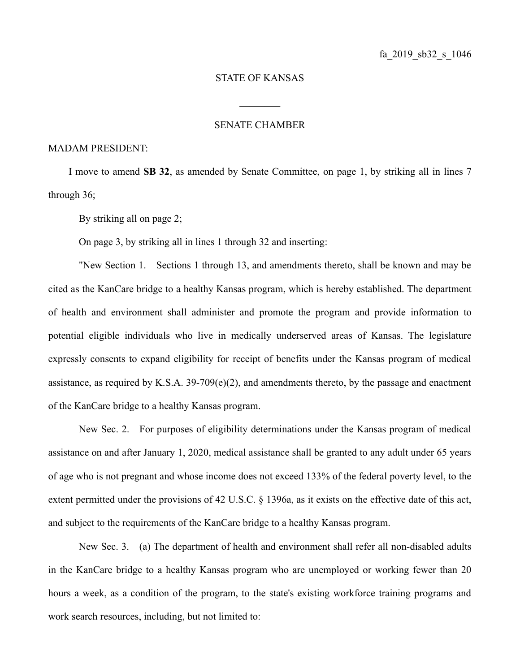## STATE OF KANSAS

 $\frac{1}{2}$ 

## SENATE CHAMBER

## MADAM PRESIDENT:

I move to amend **SB 32**, as amended by Senate Committee, on page 1, by striking all in lines 7 through 36;

By striking all on page 2;

On page 3, by striking all in lines 1 through 32 and inserting:

"New Section 1. Sections 1 through 13, and amendments thereto, shall be known and may be cited as the KanCare bridge to a healthy Kansas program, which is hereby established. The department of health and environment shall administer and promote the program and provide information to potential eligible individuals who live in medically underserved areas of Kansas. The legislature expressly consents to expand eligibility for receipt of benefits under the Kansas program of medical assistance, as required by K.S.A.  $39-709(e)(2)$ , and amendments thereto, by the passage and enactment of the KanCare bridge to a healthy Kansas program.

New Sec. 2. For purposes of eligibility determinations under the Kansas program of medical assistance on and after January 1, 2020, medical assistance shall be granted to any adult under 65 years of age who is not pregnant and whose income does not exceed 133% of the federal poverty level, to the extent permitted under the provisions of 42 U.S.C. § 1396a, as it exists on the effective date of this act, and subject to the requirements of the KanCare bridge to a healthy Kansas program.

New Sec. 3. (a) The department of health and environment shall refer all non-disabled adults in the KanCare bridge to a healthy Kansas program who are unemployed or working fewer than 20 hours a week, as a condition of the program, to the state's existing workforce training programs and work search resources, including, but not limited to: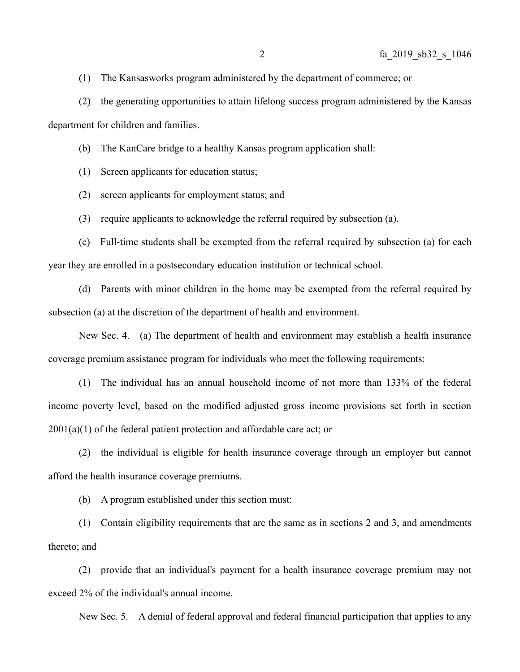(1) The Kansasworks program administered by the department of commerce; or

(2) the generating opportunities to attain lifelong success program administered by the Kansas department for children and families.

(b) The KanCare bridge to a healthy Kansas program application shall:

(1) Screen applicants for education status;

(2) screen applicants for employment status; and

(3) require applicants to acknowledge the referral required by subsection (a).

(c) Full-time students shall be exempted from the referral required by subsection (a) for each year they are enrolled in a postsecondary education institution or technical school.

(d) Parents with minor children in the home may be exempted from the referral required by subsection (a) at the discretion of the department of health and environment.

New Sec. 4. (a) The department of health and environment may establish a health insurance coverage premium assistance program for individuals who meet the following requirements:

(1) The individual has an annual household income of not more than 133% of the federal income poverty level, based on the modified adjusted gross income provisions set forth in section  $2001(a)(1)$  of the federal patient protection and affordable care act; or

(2) the individual is eligible for health insurance coverage through an employer but cannot afford the health insurance coverage premiums.

(b) A program established under this section must:

(1) Contain eligibility requirements that are the same as in sections 2 and 3, and amendments thereto; and

(2) provide that an individual's payment for a health insurance coverage premium may not exceed 2% of the individual's annual income.

New Sec. 5. A denial of federal approval and federal financial participation that applies to any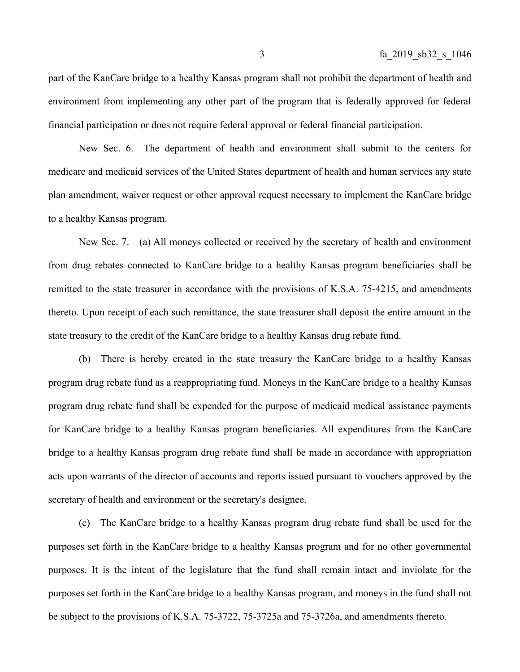part of the KanCare bridge to a healthy Kansas program shall not prohibit the department of health and environment from implementing any other part of the program that is federally approved for federal financial participation or does not require federal approval or federal financial participation.

New Sec. 6. The department of health and environment shall submit to the centers for medicare and medicaid services of the United States department of health and human services any state plan amendment, waiver request or other approval request necessary to implement the KanCare bridge to a healthy Kansas program.

New Sec. 7. (a) All moneys collected or received by the secretary of health and environment from drug rebates connected to KanCare bridge to a healthy Kansas program beneficiaries shall be remitted to the state treasurer in accordance with the provisions of K.S.A. 75-4215, and amendments thereto. Upon receipt of each such remittance, the state treasurer shall deposit the entire amount in the state treasury to the credit of the KanCare bridge to a healthy Kansas drug rebate fund.

(b) There is hereby created in the state treasury the KanCare bridge to a healthy Kansas program drug rebate fund as a reappropriating fund. Moneys in the KanCare bridge to a healthy Kansas program drug rebate fund shall be expended for the purpose of medicaid medical assistance payments for KanCare bridge to a healthy Kansas program beneficiaries. All expenditures from the KanCare bridge to a healthy Kansas program drug rebate fund shall be made in accordance with appropriation acts upon warrants of the director of accounts and reports issued pursuant to vouchers approved by the secretary of health and environment or the secretary's designee.

(c) The KanCare bridge to a healthy Kansas program drug rebate fund shall be used for the purposes set forth in the KanCare bridge to a healthy Kansas program and for no other governmental purposes. It is the intent of the legislature that the fund shall remain intact and inviolate for the purposes set forth in the KanCare bridge to a healthy Kansas program, and moneys in the fund shall not be subject to the provisions of K.S.A. 75-3722, 75-3725a and 75-3726a, and amendments thereto.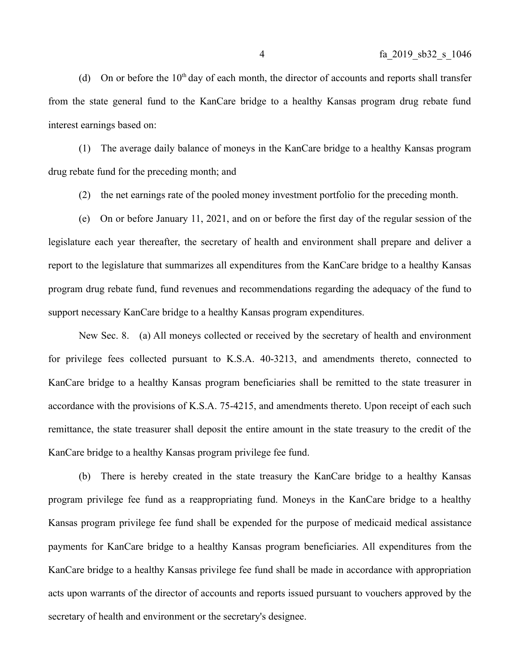(d) On or before the  $10<sup>th</sup>$  day of each month, the director of accounts and reports shall transfer from the state general fund to the KanCare bridge to a healthy Kansas program drug rebate fund interest earnings based on:

(1) The average daily balance of moneys in the KanCare bridge to a healthy Kansas program drug rebate fund for the preceding month; and

(2) the net earnings rate of the pooled money investment portfolio for the preceding month.

(e) On or before January 11, 2021, and on or before the first day of the regular session of the legislature each year thereafter, the secretary of health and environment shall prepare and deliver a report to the legislature that summarizes all expenditures from the KanCare bridge to a healthy Kansas program drug rebate fund, fund revenues and recommendations regarding the adequacy of the fund to support necessary KanCare bridge to a healthy Kansas program expenditures.

New Sec. 8. (a) All moneys collected or received by the secretary of health and environment for privilege fees collected pursuant to K.S.A. 40-3213, and amendments thereto, connected to KanCare bridge to a healthy Kansas program beneficiaries shall be remitted to the state treasurer in accordance with the provisions of K.S.A. 75-4215, and amendments thereto. Upon receipt of each such remittance, the state treasurer shall deposit the entire amount in the state treasury to the credit of the KanCare bridge to a healthy Kansas program privilege fee fund.

(b) There is hereby created in the state treasury the KanCare bridge to a healthy Kansas program privilege fee fund as a reappropriating fund. Moneys in the KanCare bridge to a healthy Kansas program privilege fee fund shall be expended for the purpose of medicaid medical assistance payments for KanCare bridge to a healthy Kansas program beneficiaries. All expenditures from the KanCare bridge to a healthy Kansas privilege fee fund shall be made in accordance with appropriation acts upon warrants of the director of accounts and reports issued pursuant to vouchers approved by the secretary of health and environment or the secretary's designee.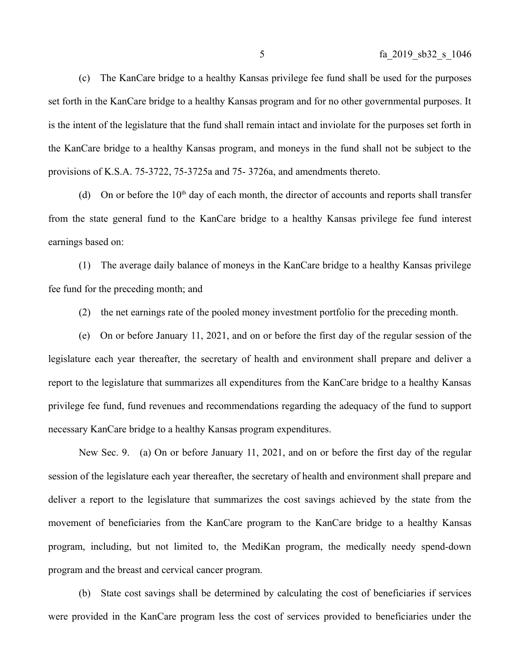(c) The KanCare bridge to a healthy Kansas privilege fee fund shall be used for the purposes set forth in the KanCare bridge to a healthy Kansas program and for no other governmental purposes. It is the intent of the legislature that the fund shall remain intact and inviolate for the purposes set forth in the KanCare bridge to a healthy Kansas program, and moneys in the fund shall not be subject to the provisions of K.S.A. 75-3722, 75-3725a and 75- 3726a, and amendments thereto.

(d) On or before the  $10<sup>th</sup>$  day of each month, the director of accounts and reports shall transfer from the state general fund to the KanCare bridge to a healthy Kansas privilege fee fund interest earnings based on:

(1) The average daily balance of moneys in the KanCare bridge to a healthy Kansas privilege fee fund for the preceding month; and

(2) the net earnings rate of the pooled money investment portfolio for the preceding month.

(e) On or before January 11, 2021, and on or before the first day of the regular session of the legislature each year thereafter, the secretary of health and environment shall prepare and deliver a report to the legislature that summarizes all expenditures from the KanCare bridge to a healthy Kansas privilege fee fund, fund revenues and recommendations regarding the adequacy of the fund to support necessary KanCare bridge to a healthy Kansas program expenditures.

New Sec. 9. (a) On or before January 11, 2021, and on or before the first day of the regular session of the legislature each year thereafter, the secretary of health and environment shall prepare and deliver a report to the legislature that summarizes the cost savings achieved by the state from the movement of beneficiaries from the KanCare program to the KanCare bridge to a healthy Kansas program, including, but not limited to, the MediKan program, the medically needy spend-down program and the breast and cervical cancer program.

(b) State cost savings shall be determined by calculating the cost of beneficiaries if services were provided in the KanCare program less the cost of services provided to beneficiaries under the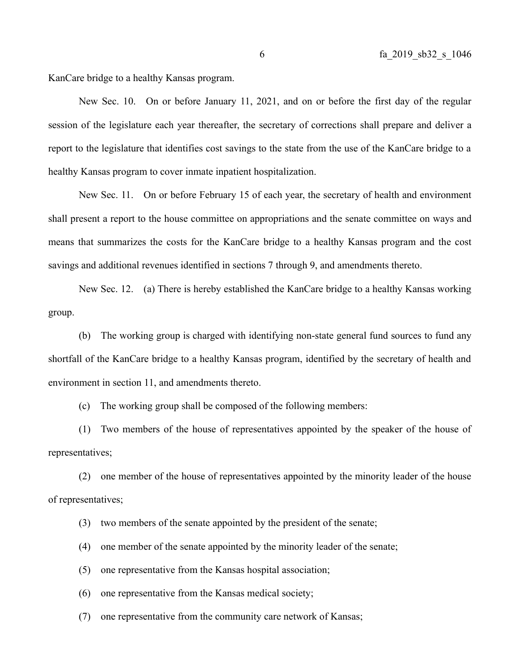KanCare bridge to a healthy Kansas program.

New Sec. 10. On or before January 11, 2021, and on or before the first day of the regular session of the legislature each year thereafter, the secretary of corrections shall prepare and deliver a report to the legislature that identifies cost savings to the state from the use of the KanCare bridge to a healthy Kansas program to cover inmate inpatient hospitalization.

New Sec. 11. On or before February 15 of each year, the secretary of health and environment shall present a report to the house committee on appropriations and the senate committee on ways and means that summarizes the costs for the KanCare bridge to a healthy Kansas program and the cost savings and additional revenues identified in sections 7 through 9, and amendments thereto.

New Sec. 12. (a) There is hereby established the KanCare bridge to a healthy Kansas working group.

(b) The working group is charged with identifying non-state general fund sources to fund any shortfall of the KanCare bridge to a healthy Kansas program, identified by the secretary of health and environment in section 11, and amendments thereto.

(c) The working group shall be composed of the following members:

(1) Two members of the house of representatives appointed by the speaker of the house of representatives;

(2) one member of the house of representatives appointed by the minority leader of the house of representatives;

(3) two members of the senate appointed by the president of the senate;

(4) one member of the senate appointed by the minority leader of the senate;

(5) one representative from the Kansas hospital association;

(6) one representative from the Kansas medical society;

(7) one representative from the community care network of Kansas;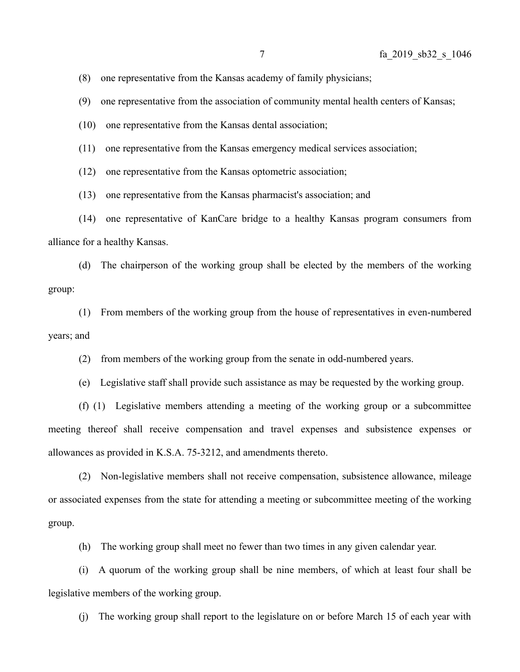(8) one representative from the Kansas academy of family physicians;

(9) one representative from the association of community mental health centers of Kansas;

(10) one representative from the Kansas dental association;

(11) one representative from the Kansas emergency medical services association;

(12) one representative from the Kansas optometric association;

(13) one representative from the Kansas pharmacist's association; and

(14) one representative of KanCare bridge to a healthy Kansas program consumers from alliance for a healthy Kansas.

(d) The chairperson of the working group shall be elected by the members of the working group:

(1) From members of the working group from the house of representatives in even-numbered years; and

(2) from members of the working group from the senate in odd-numbered years.

(e) Legislative staff shall provide such assistance as may be requested by the working group.

(f) (1) Legislative members attending a meeting of the working group or a subcommittee meeting thereof shall receive compensation and travel expenses and subsistence expenses or allowances as provided in K.S.A. 75-3212, and amendments thereto.

(2) Non-legislative members shall not receive compensation, subsistence allowance, mileage or associated expenses from the state for attending a meeting or subcommittee meeting of the working group.

(h) The working group shall meet no fewer than two times in any given calendar year.

(i) A quorum of the working group shall be nine members, of which at least four shall be legislative members of the working group.

(j) The working group shall report to the legislature on or before March 15 of each year with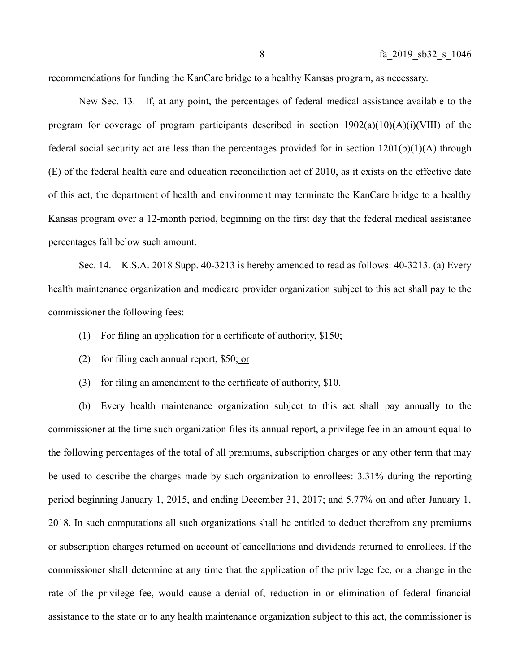recommendations for funding the KanCare bridge to a healthy Kansas program, as necessary.

New Sec. 13. If, at any point, the percentages of federal medical assistance available to the program for coverage of program participants described in section  $1902(a)(10)(A)(i)(VIII)$  of the federal social security act are less than the percentages provided for in section  $1201(b)(1)(A)$  through (E) of the federal health care and education reconciliation act of 2010, as it exists on the effective date of this act, the department of health and environment may terminate the KanCare bridge to a healthy Kansas program over a 12-month period, beginning on the first day that the federal medical assistance percentages fall below such amount.

Sec. 14. K.S.A. 2018 Supp. 40-3213 is hereby amended to read as follows: 40-3213. (a) Every health maintenance organization and medicare provider organization subject to this act shall pay to the commissioner the following fees:

(1) For filing an application for a certificate of authority, \$150;

- (2) for filing each annual report, \$50; or
- (3) for filing an amendment to the certificate of authority, \$10.

(b) Every health maintenance organization subject to this act shall pay annually to the commissioner at the time such organization files its annual report, a privilege fee in an amount equal to the following percentages of the total of all premiums, subscription charges or any other term that may be used to describe the charges made by such organization to enrollees: 3.31% during the reporting period beginning January 1, 2015, and ending December 31, 2017; and 5.77% on and after January 1, 2018. In such computations all such organizations shall be entitled to deduct therefrom any premiums or subscription charges returned on account of cancellations and dividends returned to enrollees. If the commissioner shall determine at any time that the application of the privilege fee, or a change in the rate of the privilege fee, would cause a denial of, reduction in or elimination of federal financial assistance to the state or to any health maintenance organization subject to this act, the commissioner is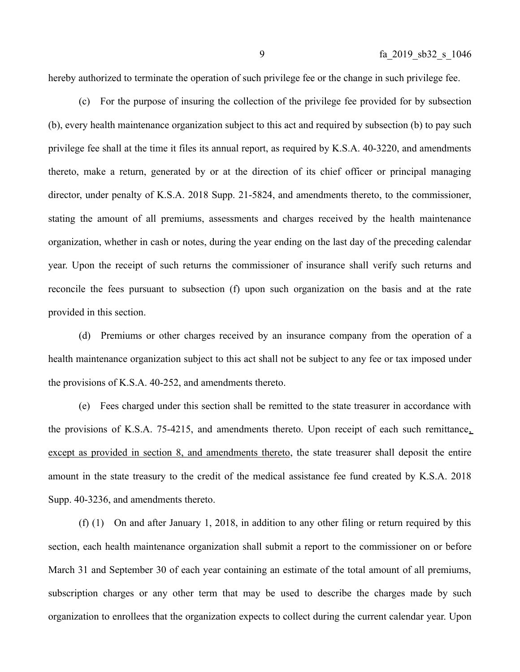hereby authorized to terminate the operation of such privilege fee or the change in such privilege fee.

(c) For the purpose of insuring the collection of the privilege fee provided for by subsection (b), every health maintenance organization subject to this act and required by subsection (b) to pay such privilege fee shall at the time it files its annual report, as required by K.S.A. 40-3220, and amendments thereto, make a return, generated by or at the direction of its chief officer or principal managing director, under penalty of K.S.A. 2018 Supp. 21-5824, and amendments thereto, to the commissioner, stating the amount of all premiums, assessments and charges received by the health maintenance organization, whether in cash or notes, during the year ending on the last day of the preceding calendar year. Upon the receipt of such returns the commissioner of insurance shall verify such returns and reconcile the fees pursuant to subsection (f) upon such organization on the basis and at the rate provided in this section.

(d) Premiums or other charges received by an insurance company from the operation of a health maintenance organization subject to this act shall not be subject to any fee or tax imposed under the provisions of K.S.A. 40-252, and amendments thereto.

(e) Fees charged under this section shall be remitted to the state treasurer in accordance with the provisions of K.S.A. 75-4215, and amendments thereto. Upon receipt of each such remittance, except as provided in section 8, and amendments thereto, the state treasurer shall deposit the entire amount in the state treasury to the credit of the medical assistance fee fund created by K.S.A. 2018 Supp. 40-3236, and amendments thereto.

(f) (1) On and after January 1, 2018, in addition to any other filing or return required by this section, each health maintenance organization shall submit a report to the commissioner on or before March 31 and September 30 of each year containing an estimate of the total amount of all premiums, subscription charges or any other term that may be used to describe the charges made by such organization to enrollees that the organization expects to collect during the current calendar year. Upon